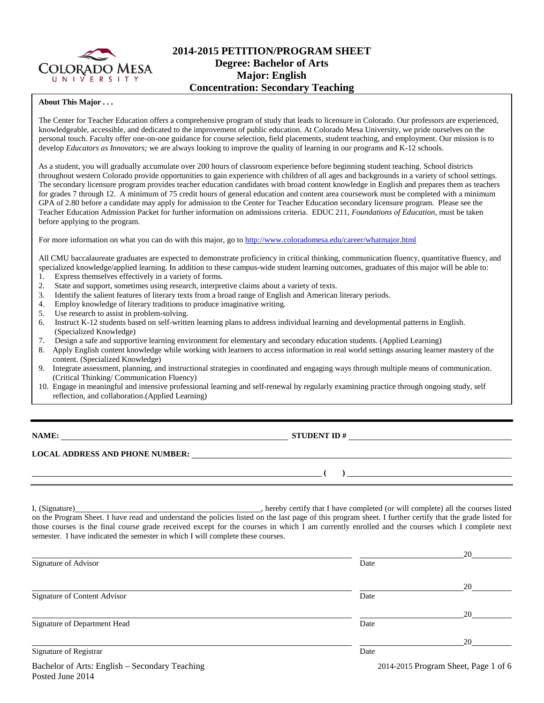

### **2014-2015 PETITION/PROGRAM SHEET Degree: Bachelor of Arts Major: English Concentration: Secondary Teaching**

### **About This Major . . .**

The Center for Teacher Education offers a comprehensive program of study that leads to licensure in Colorado. Our professors are experienced, knowledgeable, accessible, and dedicated to the improvement of public education. At Colorado Mesa University, we pride ourselves on the personal touch. Faculty offer one-on-one guidance for course selection, field placements, student teaching, and employment. Our mission is to develop *Educators as Innovators*; we are always looking to improve the quality of learning in our programs and K-12 schools.

As a student, you will gradually accumulate over 200 hours of classroom experience before beginning student teaching. School districts throughout western Colorado provide opportunities to gain experience with children of all ages and backgrounds in a variety of school settings. The secondary licensure program provides teacher education candidates with broad content knowledge in English and prepares them as teachers for grades 7 through 12. A minimum of 75 credit hours of general education and content area coursework must be completed with a minimum GPA of 2.80 before a candidate may apply for admission to the Center for Teacher Education secondary licensure program. Please see the Teacher Education Admission Packet for further information on admissions criteria. EDUC 211, *Foundations of Education*, must be taken before applying to the program.

For more information on what you can do with this major, go to<http://www.coloradomesa.edu/career/whatmajor.html>

All CMU baccalaureate graduates are expected to demonstrate proficiency in critical thinking, communication fluency, quantitative fluency, and specialized knowledge/applied learning. In addition to these campus-wide student learning outcomes, graduates of this major will be able to: 1. Express themselves effectively in a variety of forms.

- 2. State and support, sometimes using research, interpretive claims about a variety of texts.
- 3. Identify the salient features of literary texts from a broad range of English and American literary periods.
- 4. Employ knowledge of literary traditions to produce imaginative writing.
- 5. Use research to assist in problem-solving.
- 6. Instruct K-12 students based on self-written learning plans to address individual learning and developmental patterns in English. (Specialized Knowledge)<br>7. Design a safe and support
- Design a safe and supportive learning environment for elementary and secondary education students. (Applied Learning)
- 8. Apply English content knowledge while working with learners to access information in real world settings assuring learner mastery of the content. (Specialized Knowledge)
- 9. Integrate assessment, planning, and instructional strategies in coordinated and engaging ways through multiple means of communication. (Critical Thinking/ Communication Fluency)
- 10. Engage in meaningful and intensive professional learning and self-renewal by regularly examining practice through ongoing study, self reflection, and collaboration.(Applied Learning)

Posted June 2014

### **NAME: STUDENT ID #**

**( )** 

### **LOCAL ADDRESS AND PHONE NUMBER:**

I, (Signature) **Solution** , hereby certify that I have completed (or will complete) all the courses listed on the Program Sheet. I have read and understand the policies listed on the last page of this program sheet. I further certify that the grade listed for those courses is the final course grade received except for the courses in which I am currently enrolled and the courses which I complete next semester. I have indicated the semester in which I will complete these courses.

|                                                |      | 20                                   |
|------------------------------------------------|------|--------------------------------------|
| Signature of Advisor                           | Date |                                      |
|                                                |      | 20                                   |
| Signature of Content Advisor                   | Date |                                      |
|                                                |      | 20                                   |
| Signature of Department Head                   | Date |                                      |
|                                                |      | 20                                   |
| Signature of Registrar                         | Date |                                      |
| Bachelor of Arts: English - Secondary Teaching |      | 2014-2015 Program Sheet, Page 1 of 6 |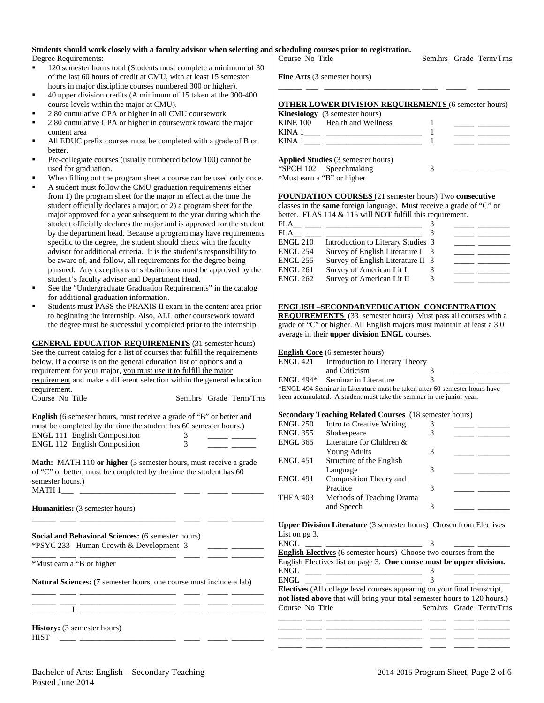# **Students should work closely with a faculty advisor when selecting and scheduling courses prior to registration.**

Degree Requirements:

- <sup>120</sup> semester hours total (Students must complete a minimum of 30 of the last 60 hours of credit at CMU, with at least 15 semester hours in major discipline courses numbered 300 or higher).
- 40 upper division credits (A minimum of 15 taken at the 300-400 course levels within the major at CMU).
- 2.80 cumulative GPA or higher in all CMU coursework
- 2.80 cumulative GPA or higher in coursework toward the major content area
- All EDUC prefix courses must be completed with a grade of B or better.
- Pre-collegiate courses (usually numbered below 100) cannot be used for graduation.
- When filling out the program sheet a course can be used only once.
- A student must follow the CMU graduation requirements either from 1) the program sheet for the major in effect at the time the student officially declares a major; or 2) a program sheet for the major approved for a year subsequent to the year during which the student officially declares the major and is approved for the student by the department head. Because a program may have requirements specific to the degree, the student should check with the faculty advisor for additional criteria. It is the student's responsibility to be aware of, and follow, all requirements for the degree being pursued. Any exceptions or substitutions must be approved by the student's faculty advisor and Department Head.
- See the "Undergraduate Graduation Requirements" in the catalog for additional graduation information.
- Students must PASS the PRAXIS II exam in the content area prior to beginning the internship. Also, ALL other coursework toward the degree must be successfully completed prior to the internship.

**GENERAL EDUCATION REQUIREMENTS** (31 semester hours) See the current catalog for a list of courses that fulfill the requirements below. If a course is on the general education list of options and a requirement for your major, you must use it to fulfill the major requirement and make a different selection within the general education requirement. Course No Title Sem.hrs Grade Term/Trns

| <b>English</b> (6 semester hours, must receive a grade of "B" or better and |  |  |  |  |  |  |
|-----------------------------------------------------------------------------|--|--|--|--|--|--|
| must be completed by the time the student has 60 semester hours.)           |  |  |  |  |  |  |
| <b>ENGL 111 English Composition</b>                                         |  |  |  |  |  |  |
| <b>ENGL 112 English Composition</b>                                         |  |  |  |  |  |  |

**Math:** MATH 110 **or higher** (3 semester hours, must receive a grade of "C" or better, must be completed by the time the student has 60 semester hours.)  $MATH_1$ 

\_\_\_\_\_\_ \_\_\_\_ \_\_\_\_\_\_\_\_\_\_\_\_\_\_\_\_\_\_\_\_\_\_\_\_ \_\_\_\_ \_\_\_\_\_ \_\_\_\_\_\_\_\_

\_\_\_\_\_\_ \_\_\_\_ \_\_\_\_\_\_\_\_\_\_\_\_\_\_\_\_\_\_\_\_\_\_\_\_ \_\_\_\_ \_\_\_\_\_ \_\_\_\_\_\_\_\_

**Humanities:** (3 semester hours)

**Social and Behavioral Sciences:** (6 semester hours) \*PSYC 233 Human Growth & Development 3 \_\_\_\_\_ \_\_\_\_\_\_\_\_

\*Must earn a "B or higher

**Natural Sciences:** (7 semester hours, one course must include a lab) \_\_\_\_\_\_ \_\_\_\_ \_\_\_\_\_\_\_\_\_\_\_\_\_\_\_\_\_\_\_\_\_\_\_\_ \_\_\_\_ \_\_\_\_\_ \_\_\_\_\_\_\_\_

\_\_\_\_\_\_ \_\_\_\_ \_\_\_\_\_\_\_\_\_\_\_\_\_\_\_\_\_\_\_\_\_\_\_\_ \_\_\_\_ \_\_\_\_\_ \_\_\_\_\_\_\_\_ \_\_\_\_\_\_ \_\_\_L \_\_\_\_\_\_\_\_\_\_\_\_\_\_\_\_\_\_\_\_\_\_\_\_ \_\_\_\_ \_\_\_\_\_ \_\_\_\_\_\_\_\_

| <b>History:</b> (3 semester hours) |  |  |
|------------------------------------|--|--|
| HIST                               |  |  |

Sem.hrs Grade Term/Trns **Fine Arts** (3 semester hours) \_\_\_\_\_\_ \_\_\_ \_\_\_\_\_\_\_\_\_\_\_\_\_\_\_\_\_\_\_\_\_\_\_\_ \_\_\_\_ \_\_\_\_\_ \_\_\_\_\_\_\_\_

### **OTHER LOWER DIVISION REQUIREMENTS** (6 semester hours)

| <b>Kinesiology</b> (3 semester hours)     |  |
|-------------------------------------------|--|
| KINE 100 Health and Wellness              |  |
|                                           |  |
| KINA 1                                    |  |
| <b>Applied Studies</b> (3 semester hours) |  |
| *SPCH 102 Speechmaking                    |  |

| *SPCH 102 Speechmaking     |  |  |
|----------------------------|--|--|
| *Must earn a "B" or higher |  |  |

### **FOUNDATION COURSES** (21 semester hours) Two **consecutive**

classes in the **same** foreign language. Must receive a grade of "C" or better. FLAS 114 & 115 will **NOT** fulfill this requirement.

| FLA             |                                    |  |  |
|-----------------|------------------------------------|--|--|
| FLA             |                                    |  |  |
| <b>ENGL 210</b> | Introduction to Literary Studies 3 |  |  |
| <b>ENGL 254</b> | Survey of English Literature I 3   |  |  |
| <b>ENGL 255</b> | Survey of English Literature II 3  |  |  |
| <b>ENGL 261</b> | Survey of American Lit I           |  |  |
| <b>ENGL 262</b> | Survey of American Lit II          |  |  |

### **ENGLISH –SECONDARYEDUCATION CONCENTRATION**

**REQUIREMENTS** (33 semester hours) Must pass all courses with a grade of "C" or higher. All English majors must maintain at least a 3.0 average in their **upper division ENGL** courses.

### **English Core** (6 semester hours)

| ENGL 421 | Introduction to Literary Theory                                            |  |
|----------|----------------------------------------------------------------------------|--|
|          | and Criticism                                                              |  |
|          | ENGL 494 <sup>*</sup> Seminar in Literature                                |  |
|          | *ENGL 494 Seminar in Literature must be taken after 60 semester hours have |  |

been accumulated. A student must take the seminar in the junior year.

### **Secondary Teaching Related Courses** (18 semester hours)

| <b>ENGL 250</b> | Intro to Creative Writing | 3 |  |
|-----------------|---------------------------|---|--|
| <b>ENGL 355</b> | Shakespeare               | 3 |  |
| <b>ENGL 365</b> | Literature for Children & |   |  |
|                 | <b>Young Adults</b>       | 3 |  |
| <b>ENGL 451</b> | Structure of the English  |   |  |
|                 | Language                  | 3 |  |
| <b>ENGL 491</b> | Composition Theory and    |   |  |
|                 | Practice                  | 3 |  |
| THEA 403        | Methods of Teaching Drama |   |  |
|                 | and Speech                | 3 |  |
|                 |                           |   |  |

**Upper Division Literature** (3 semester hours) Chosen from Electives List on pg 3.

| .<br>$\sim$ | × |  |
|-------------|---|--|
| 7NI.        |   |  |

| ENGL                                                                            |  |                         |
|---------------------------------------------------------------------------------|--|-------------------------|
| <b>English Electives</b> (6 semester hours) Choose two courses from the         |  |                         |
| English Electives list on page 3. One course must be upper division.            |  |                         |
|                                                                                 |  |                         |
| ENGL<br><u> 1980 - Jan Barnett, mars et al. (</u>                               |  |                         |
| <b>Electives</b> (All college level courses appearing on your final transcript, |  |                         |
| not listed above that will bring your total semester hours to 120 hours.)       |  |                         |
| Course No Title                                                                 |  | Sem.hrs Grade Term/Trns |
|                                                                                 |  |                         |
|                                                                                 |  |                         |

\_\_\_\_\_\_ \_\_\_\_ \_\_\_\_\_\_\_\_\_\_\_\_\_\_\_\_\_\_\_\_\_\_\_\_ \_\_\_\_ \_\_\_\_\_ \_\_\_\_\_\_\_\_ \_\_\_\_\_\_ \_\_\_\_ \_\_\_\_\_\_\_\_\_\_\_\_\_\_\_\_\_\_\_\_\_\_\_\_ \_\_\_\_ \_\_\_\_\_ \_\_\_\_\_\_\_\_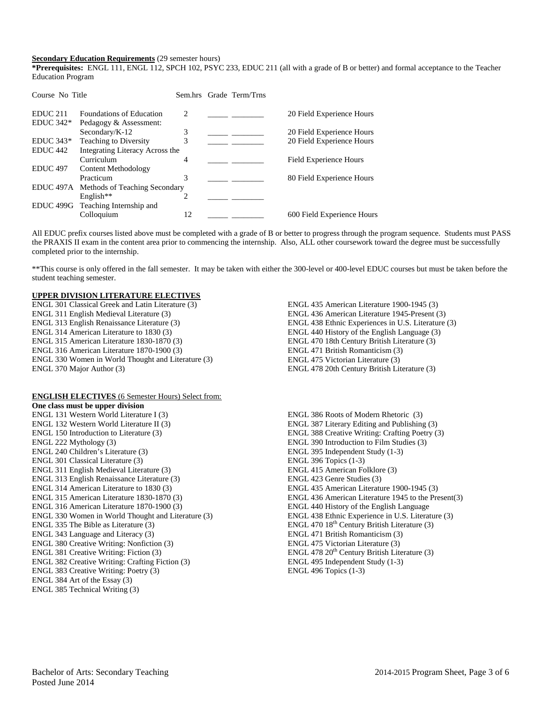### **Secondary Education Requirements** (29 semester hours)

**\*Prerequisites:** ENGL 111, ENGL 112, SPCH 102, PSYC 233, EDUC 211 (all with a grade of B or better) and formal acceptance to the Teacher Education Program

| Course No Title     |                                         |                               | Sem.hrs Grade Term/Trns |                            |
|---------------------|-----------------------------------------|-------------------------------|-------------------------|----------------------------|
| EDUC <sub>211</sub> | <b>Foundations of Education</b>         | $\mathcal{D}_{\mathcal{L}}$   |                         | 20 Field Experience Hours  |
| $EDUC 342*$         | Pedagogy & Assessment:                  |                               |                         |                            |
|                     | Secondary/K-12                          | 3                             |                         | 20 Field Experience Hours  |
| $EDUC 343*$         | Teaching to Diversity                   | 3                             |                         | 20 Field Experience Hours  |
| EDUC <sub>442</sub> | Integrating Literacy Across the         |                               |                         |                            |
|                     | Curriculum                              | 4                             |                         | Field Experience Hours     |
| <b>EDUC 497</b>     | Content Methodology                     |                               |                         |                            |
|                     | Practicum                               | 3                             |                         | 80 Field Experience Hours  |
|                     | EDUC 497A Methods of Teaching Secondary |                               |                         |                            |
|                     | English <sup>**</sup>                   | $\mathfrak{D}_{\mathfrak{p}}$ |                         |                            |
| EDUC 499G           | Teaching Internship and                 |                               |                         |                            |
|                     | Colloquium                              | 12                            |                         | 600 Field Experience Hours |

All EDUC prefix courses listed above must be completed with a grade of B or better to progress through the program sequence. Students must PASS the PRAXIS II exam in the content area prior to commencing the internship. Also, ALL other coursework toward the degree must be successfully completed prior to the internship.

\*\*This course is only offered in the fall semester. It may be taken with either the 300-level or 400-level EDUC courses but must be taken before the student teaching semester.

### **UPPER DIVISION LITERATURE ELECTIVES**

ENGL 301 Classical Greek and Latin Literature (3) ENGL 311 English Medieval Literature (3) ENGL 313 English Renaissance Literature (3) ENGL 314 American Literature to 1830 (3) ENGL 315 American Literature 1830-1870 (3) ENGL 316 American Literature 1870-1900 (3) ENGL 330 Women in World Thought and Literature (3) ENGL 370 Major Author (3)

#### **ENGLISH ELECTIVES** (6 Semester Hours) Select from:

**One class must be upper division** ENGL 131 Western World Literature I (3) ENGL 132 Western World Literature II (3) ENGL 150 Introduction to Literature (3) ENGL 222 Mythology (3) ENGL 240 Children's Literature (3) ENGL 301 Classical Literature (3) ENGL 311 English Medieval Literature (3) ENGL 313 English Renaissance Literature (3) ENGL 314 American Literature to 1830 (3) ENGL 315 American Literature 1830-1870 (3) ENGL 316 American Literature 1870-1900 (3) ENGL 330 Women in World Thought and Literature (3) ENGL 335 The Bible as Literature (3) ENGL 343 Language and Literacy (3) ENGL 380 Creative Writing: Nonfiction (3) ENGL 381 Creative Writing: Fiction (3) ENGL 382 Creative Writing: Crafting Fiction (3) ENGL 383 Creative Writing: Poetry (3) ENGL 384 Art of the Essay (3) ENGL 385 Technical Writing (3)

ENGL 435 American Literature 1900-1945 (3) ENGL 436 American Literature 1945-Present (3) ENGL 438 Ethnic Experiences in U.S. Literature (3) ENGL 440 History of the English Language (3) ENGL 470 18th Century British Literature (3) ENGL 471 British Romanticism (3) ENGL 475 Victorian Literature (3) ENGL 478 20th Century British Literature (3)

ENGL 386 Roots of Modern Rhetoric (3) ENGL 387 Literary Editing and Publishing (3) ENGL 388 Creative Writing: Crafting Poetry (3) ENGL 390 Introduction to Film Studies (3) ENGL 395 Independent Study (1-3) ENGL 396 Topics (1-3) ENGL 415 American Folklore (3) ENGL 423 Genre Studies (3) ENGL 435 American Literature 1900-1945 (3) ENGL 436 American Literature 1945 to the Present(3) ENGL 440 History of the English Language ENGL 438 Ethnic Experience in U.S. Literature (3) ENGL 470 18<sup>th</sup> Century British Literature (3) ENGL 471 British Romanticism (3) ENGL 475 Victorian Literature (3) ENGL 478 20<sup>th</sup> Century British Literature (3) ENGL 495 Independent Study (1-3) ENGL 496 Topics (1-3)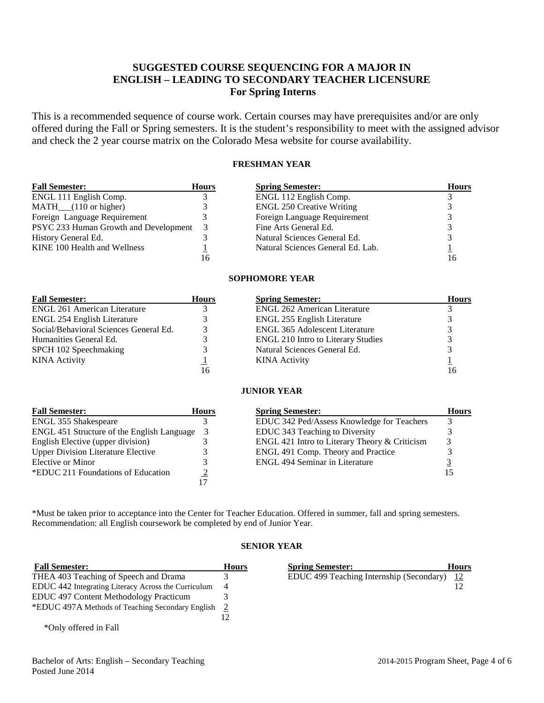## **SUGGESTED COURSE SEQUENCING FOR A MAJOR IN ENGLISH – LEADING TO SECONDARY TEACHER LICENSURE For Spring Interns**

This is a recommended sequence of course work. Certain courses may have prerequisites and/or are only offered during the Fall or Spring semesters. It is the student's responsibility to meet with the assigned advisor and check the 2 year course matrix on the Colorado Mesa website for course availability.

### **FRESHMAN YEAR**

| <b>Fall Semester:</b>                 | <b>Hours</b> | <b>Spring Semester:</b>           | <b>Hours</b> |
|---------------------------------------|--------------|-----------------------------------|--------------|
| ENGL 111 English Comp.                |              | ENGL 112 English Comp.            |              |
| $MATH$ <sub>(110</sub> or higher)     |              | <b>ENGL 250 Creative Writing</b>  |              |
| Foreign Language Requirement          |              | Foreign Language Requirement      |              |
| PSYC 233 Human Growth and Development | 3            | Fine Arts General Ed.             |              |
| History General Ed.                   |              | Natural Sciences General Ed.      |              |
| KINE 100 Health and Wellness          |              | Natural Sciences General Ed. Lab. |              |
|                                       | 16           |                                   |              |

### **SOPHOMORE YEAR**

| <b>Fall Semester:</b>                  | <b>Hours</b> | <b>Spring Semester:</b>                   | <b>Hours</b> |
|----------------------------------------|--------------|-------------------------------------------|--------------|
| <b>ENGL 261 American Literature</b>    |              | <b>ENGL 262 American Literature</b>       |              |
| ENGL 254 English Literature            |              | <b>ENGL 255 English Literature</b>        |              |
| Social/Behavioral Sciences General Ed. |              | <b>ENGL 365 Adolescent Literature</b>     |              |
| Humanities General Ed.                 |              | <b>ENGL 210 Intro to Literary Studies</b> |              |
| SPCH 102 Speechmaking                  |              | Natural Sciences General Ed.              |              |
| <b>KINA</b> Activity                   |              | <b>KINA</b> Activity                      |              |
|                                        | 16           |                                           |              |

### **JUNIOR YEAR**

| <b>Fall Semester:</b>                      | <b>Hours</b> | <b>Spring Semester:</b>                       | <b>Hours</b> |
|--------------------------------------------|--------------|-----------------------------------------------|--------------|
| <b>ENGL 355 Shakespeare</b>                |              | EDUC 342 Ped/Assess Knowledge for Teachers    |              |
| ENGL 451 Structure of the English Language |              | EDUC 343 Teaching to Diversity                |              |
| English Elective (upper division)          |              | ENGL 421 Intro to Literary Theory & Criticism |              |
| <b>Upper Division Literature Elective</b>  |              | ENGL 491 Comp. Theory and Practice            |              |
| Elective or Minor                          |              | <b>ENGL 494 Seminar in Literature</b>         |              |
| *EDUC 211 Foundations of Education         |              |                                               |              |
|                                            |              |                                               |              |

\*Must be taken prior to acceptance into the Center for Teacher Education. Offered in summer, fall and spring semesters. Recommendation: all English coursework be completed by end of Junior Year.

### **SENIOR YEAR**

| <b>Fall Semester:</b>                               | <b>Hours</b> | <b>Spring Semester:</b>                  | <b>Hours</b> |
|-----------------------------------------------------|--------------|------------------------------------------|--------------|
| THEA 403 Teaching of Speech and Drama               |              | EDUC 499 Teaching Internship (Secondary) | - 12         |
| EDUC 442 Integrating Literacy Across the Curriculum |              |                                          |              |
| <b>EDUC</b> 497 Content Methodology Practicum       |              |                                          |              |
| *EDUC 497A Methods of Teaching Secondary English 2  |              |                                          |              |
|                                                     |              |                                          |              |
| *Only offered in Fall                               |              |                                          |              |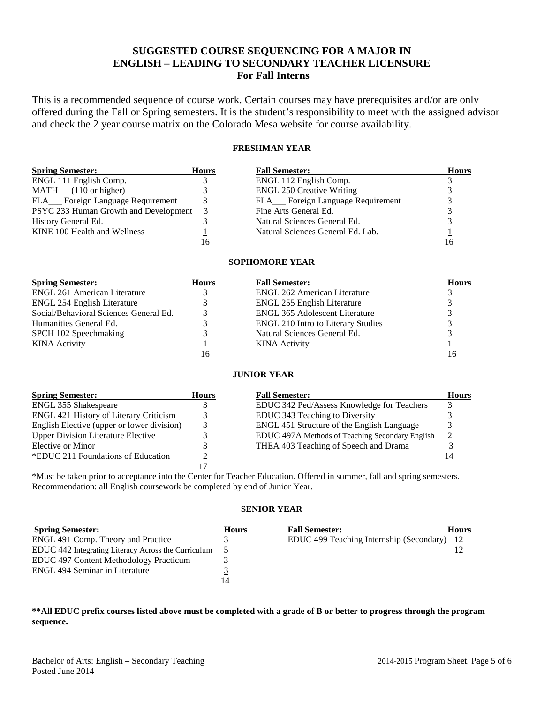## **SUGGESTED COURSE SEQUENCING FOR A MAJOR IN ENGLISH – LEADING TO SECONDARY TEACHER LICENSURE For Fall Interns**

This is a recommended sequence of course work. Certain courses may have prerequisites and/or are only offered during the Fall or Spring semesters. It is the student's responsibility to meet with the assigned advisor and check the 2 year course matrix on the Colorado Mesa website for course availability.

### **FRESHMAN YEAR**

| <b>Spring Semester:</b>               | <b>Hours</b> | <b>Fall Semester:</b>              | <b>Hours</b> |
|---------------------------------------|--------------|------------------------------------|--------------|
| ENGL 111 English Comp.                |              | ENGL 112 English Comp.             |              |
| $MATH$ <sub>(110</sub> or higher)     |              | <b>ENGL 250 Creative Writing</b>   |              |
| FLA___ Foreign Language Requirement   |              | FLA__ Foreign Language Requirement |              |
| PSYC 233 Human Growth and Development | 3            | Fine Arts General Ed.              |              |
| History General Ed.                   |              | Natural Sciences General Ed.       |              |
| KINE 100 Health and Wellness          |              | Natural Sciences General Ed. Lab.  |              |
|                                       | 16           |                                    | 10           |

### **SOPHOMORE YEAR**

| <b>Spring Semester:</b>                | <b>Hours</b> | <b>Fall Semester:</b>                     | <b>Hours</b> |
|----------------------------------------|--------------|-------------------------------------------|--------------|
| <b>ENGL 261 American Literature</b>    |              | <b>ENGL 262 American Literature</b>       |              |
| ENGL 254 English Literature            |              | ENGL 255 English Literature               |              |
| Social/Behavioral Sciences General Ed. |              | <b>ENGL 365 Adolescent Literature</b>     |              |
| Humanities General Ed.                 |              | <b>ENGL 210 Intro to Literary Studies</b> |              |
| SPCH 102 Speechmaking                  |              | Natural Sciences General Ed.              |              |
| <b>KINA</b> Activity                   |              | <b>KINA</b> Activity                      |              |
|                                        | 16           |                                           |              |

### **JUNIOR YEAR**

| <b>Spring Semester:</b>                       | <b>Hours</b> | <b>Fall Semester:</b>                           | Hours |
|-----------------------------------------------|--------------|-------------------------------------------------|-------|
| <b>ENGL 355 Shakespeare</b>                   |              | EDUC 342 Ped/Assess Knowledge for Teachers      |       |
| <b>ENGL 421 History of Literary Criticism</b> |              | EDUC 343 Teaching to Diversity                  |       |
| English Elective (upper or lower division)    |              | ENGL 451 Structure of the English Language      |       |
| <b>Upper Division Literature Elective</b>     |              | EDUC 497A Methods of Teaching Secondary English | ∍     |
| Elective or Minor                             |              | THEA 403 Teaching of Speech and Drama           |       |
| *EDUC 211 Foundations of Education            |              |                                                 |       |
|                                               |              |                                                 |       |

\*Must be taken prior to acceptance into the Center for Teacher Education. Offered in summer, fall and spring semesters. Recommendation: all English coursework be completed by end of Junior Year.

### **SENIOR YEAR**

| <b>Spring Semester:</b>                             | <b>Hours</b> | <b>Fall Semester:</b>                    | <b>Hours</b>  |
|-----------------------------------------------------|--------------|------------------------------------------|---------------|
| ENGL 491 Comp. Theory and Practice                  |              | EDUC 499 Teaching Internship (Secondary) | <sup>12</sup> |
| EDUC 442 Integrating Literacy Across the Curriculum |              |                                          |               |
| <b>EDUC</b> 497 Content Methodology Practicum       |              |                                          |               |
| <b>ENGL 494 Seminar in Literature</b>               |              |                                          |               |
|                                                     | 14           |                                          |               |

### **\*\*All EDUC prefix courses listed above must be completed with a grade of B or better to progress through the program sequence.**